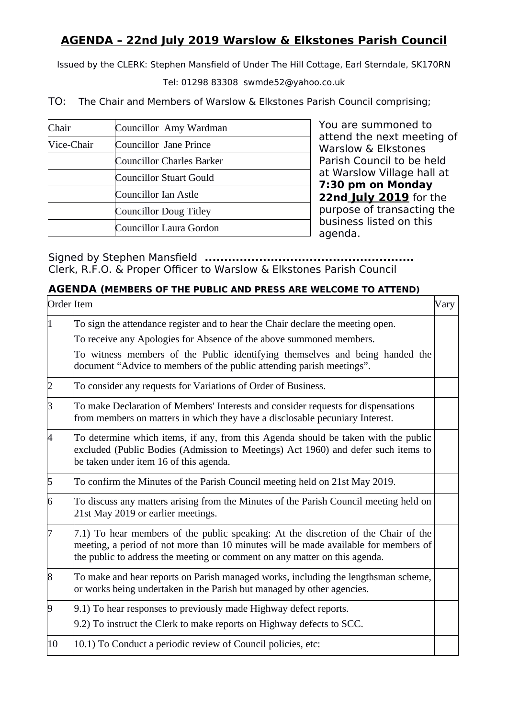## **AGENDA – 22nd July 2019 Warslow & Elkstones Parish Council**

Issued by the CLERK: Stephen Mansfield of Under The Hill Cottage, Earl Sterndale, SK170RN

Tel: 01298 83308 swmde52@yahoo.co.uk

TO: The Chair and Members of Warslow & Elkstones Parish Council comprising;

| Chair      | Councillor Amy Wardman    |
|------------|---------------------------|
| Vice-Chair | Councillor Jane Prince    |
|            | Councillor Charles Barker |
|            | Councillor Stuart Gould   |
|            | Councillor Ian Astle      |
|            | Councillor Doug Titley    |
|            | Councillor Laura Gordon   |

You are summoned to attend the next meeting of Warslow & Elkstones Parish Council to be held at Warslow Village hall at **7:30 pm on Monday 22nd July 2019** for the purpose of transacting the business listed on this agenda.

Signed by Stephen Mansfield **......................................................** Clerk, R.F.O. & Proper Officer to Warslow & Elkstones Parish Council

## **AGENDA (MEMBERS OF THE PUBLIC AND PRESS ARE WELCOME TO ATTEND)**

| Order Item           |                                                                                                                                                                                                                                                         | Vary |
|----------------------|---------------------------------------------------------------------------------------------------------------------------------------------------------------------------------------------------------------------------------------------------------|------|
| 1                    | To sign the attendance register and to hear the Chair declare the meeting open.                                                                                                                                                                         |      |
|                      | To receive any Apologies for Absence of the above summoned members.                                                                                                                                                                                     |      |
|                      | To witness members of the Public identifying themselves and being handed the<br>document "Advice to members of the public attending parish meetings".                                                                                                   |      |
| $\vert$ <sup>2</sup> | To consider any requests for Variations of Order of Business.                                                                                                                                                                                           |      |
| $\vert$ 3            | To make Declaration of Members' Interests and consider requests for dispensations<br>from members on matters in which they have a disclosable pecuniary Interest.                                                                                       |      |
| 4                    | To determine which items, if any, from this Agenda should be taken with the public<br>excluded (Public Bodies (Admission to Meetings) Act 1960) and defer such items to<br>be taken under item 16 of this agenda.                                       |      |
| $\vert 5 \vert$      | To confirm the Minutes of the Parish Council meeting held on 21st May 2019.                                                                                                                                                                             |      |
| $\vert 6 \vert$      | To discuss any matters arising from the Minutes of the Parish Council meeting held on<br>21st May 2019 or earlier meetings.                                                                                                                             |      |
| 17                   | 7.1) To hear members of the public speaking: At the discretion of the Chair of the<br>meeting, a period of not more than 10 minutes will be made available for members of<br>the public to address the meeting or comment on any matter on this agenda. |      |
| $\sqrt{8}$           | To make and hear reports on Parish managed works, including the lengthsman scheme,<br>or works being undertaken in the Parish but managed by other agencies.                                                                                            |      |
| $\vert 9$            | 9.1) To hear responses to previously made Highway defect reports.                                                                                                                                                                                       |      |
|                      | 9.2) To instruct the Clerk to make reports on Highway defects to SCC.                                                                                                                                                                                   |      |
| $ 10\rangle$         | 10.1) To Conduct a periodic review of Council policies, etc:                                                                                                                                                                                            |      |